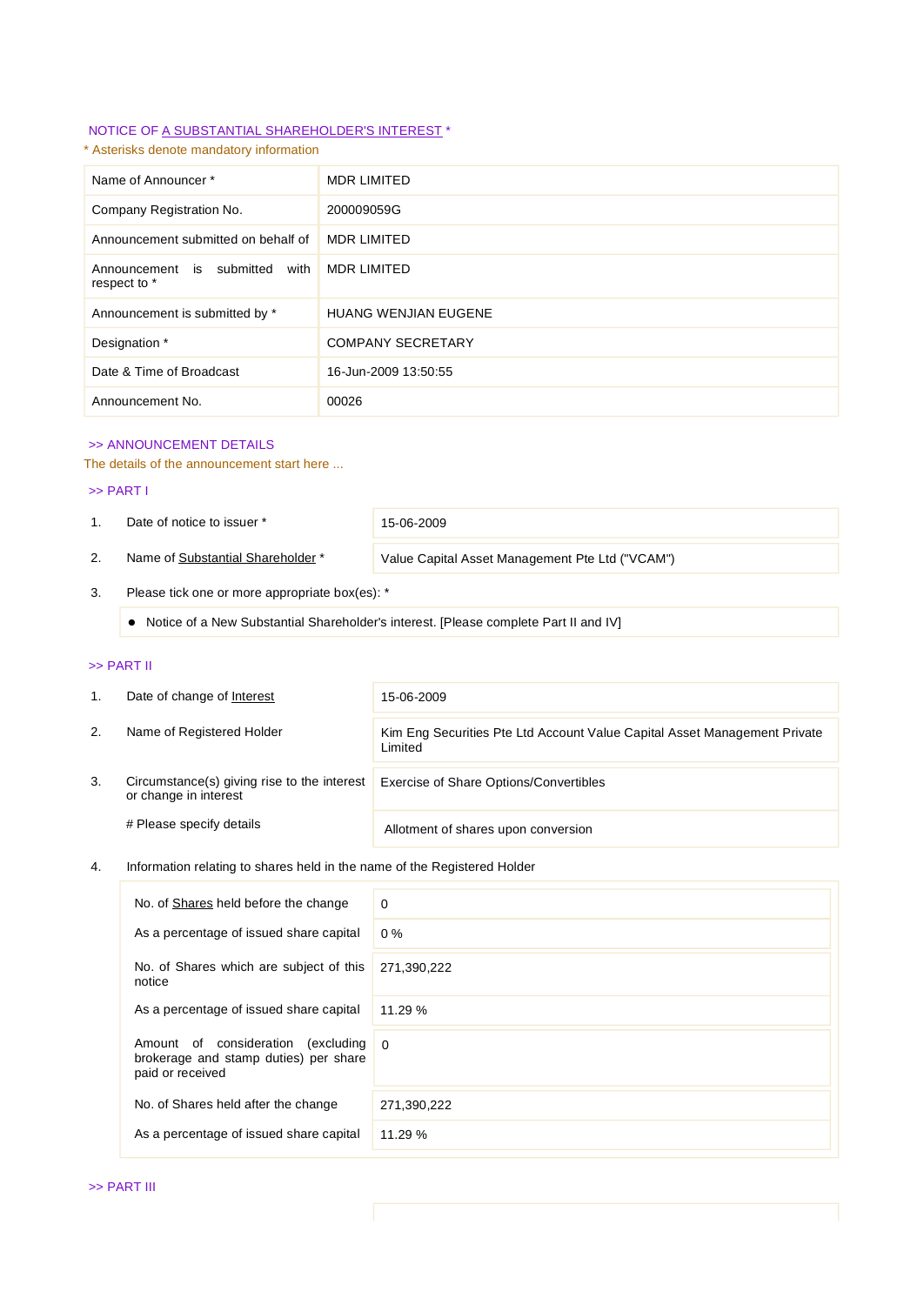# NOTICE OF A SUBSTANTIAL SHAREHOLDER'S INTEREST \*

# \* Asterisks denote mandatory information

| Name of Announcer*                                | <b>MDR LIMITED</b>          |
|---------------------------------------------------|-----------------------------|
| Company Registration No.                          | 200009059G                  |
| Announcement submitted on behalf of               | <b>MDR LIMITED</b>          |
| with<br>Announcement is submitted<br>respect to * | <b>MDR LIMITED</b>          |
| Announcement is submitted by *                    | <b>HUANG WENJIAN EUGENE</b> |
| Designation *                                     | <b>COMPANY SECRETARY</b>    |
| Date & Time of Broadcast                          | 16-Jun-2009 13:50:55        |
| Announcement No.                                  | 00026                       |

# >> ANNOUNCEMENT DETAILS

### The details of the announcement start here ...

#### >> PART I

1. Date of notice to issuer \* 15-06-2009

2. Name of Substantial Shareholder \* Value Capital Asset Management Pte Ltd ("VCAM")

## 3. Please tick one or more appropriate box(es): \*

Notice of a New Substantial Shareholder's interest. [Please complete Part II and IV]

### >> PART II

| 1. | Date of change of Interest                                           | 15-06-2009                                                                           |  |
|----|----------------------------------------------------------------------|--------------------------------------------------------------------------------------|--|
| 2. | Name of Registered Holder                                            | Kim Eng Securities Pte Ltd Account Value Capital Asset Management Private<br>Limited |  |
| 3. | Circumstance(s) giving rise to the interest<br>or change in interest | Exercise of Share Options/Convertibles                                               |  |
|    | # Please specify details                                             | Allotment of shares upon conversion                                                  |  |

## 4. Information relating to shares held in the name of the Registered Holder

| No. of Shares held before the change                                                                  | $\Omega$    |
|-------------------------------------------------------------------------------------------------------|-------------|
| As a percentage of issued share capital                                                               | $0\%$       |
| No. of Shares which are subject of this<br>notice                                                     | 271,390,222 |
| As a percentage of issued share capital                                                               | 11.29%      |
| consideration<br>(excluding<br>Amount of<br>brokerage and stamp duties) per share<br>paid or received | $\Omega$    |
| No. of Shares held after the change                                                                   | 271,390,222 |
| As a percentage of issued share capital                                                               | 11.29%      |